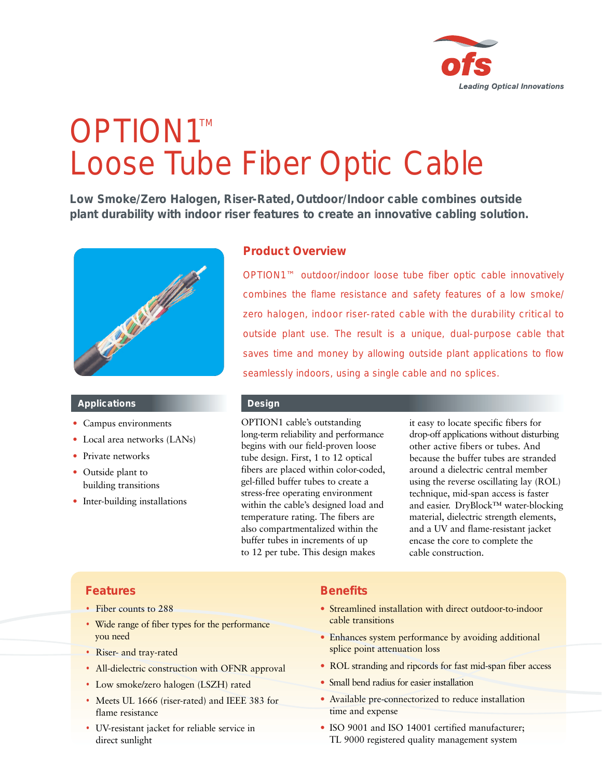

# OPTION1™ Loose Tube Fiber Optic Cable

**Low Smoke/Zero Halogen, Riser-Rated, Outdoor/Indoor cable combines outside plant durability with indoor riser features to create an innovative cabling solution.**



#### **Applications**

- Campus environments
- Local area networks (LANs)
- Private networks
- Outside plant to building transitions
- Inter-building installations

### **Product Overview**

OPTION1™ outdoor/indoor loose tube fiber optic cable innovatively combines the flame resistance and safety features of a low smoke/ zero halogen, indoor riser-rated cable with the durability critical to outside plant use. The result is a unique, dual-purpose cable that saves time and money by allowing outside plant applications to flow seamlessly indoors, using a single cable and no splices.

#### **Design**

OPTION1 cable's outstanding long-term reliability and performance begins with our field-proven loose tube design. First, 1 to 12 optical fibers are placed within color-coded, gel-filled buffer tubes to create a stress-free operating environment within the cable's designed load and temperature rating. The fibers are also compartmentalized within the buffer tubes in increments of up to 12 per tube. This design makes

it easy to locate specific fibers for drop-off applications without disturbing other active fibers or tubes. And because the buffer tubes are stranded around a dielectric central member using the reverse oscillating lay (ROL) technique, mid-span access is faster and easier. DryBlock™ water-blocking material, dielectric strength elements, and a UV and flame-resistant jacket encase the core to complete the cable construction.

## **Features**

- Fiber counts to 288
- Wide range of fiber types for the performance you need
- Riser- and tray-rated
- All-dielectric construction with OFNR approval
- Low smoke/zero halogen (LSZH) rated
- Meets UL 1666 (riser-rated) and IEEE 383 for flame resistance
- UV-resistant jacket for reliable service in direct sunlight

## **Benefits**

- Streamlined installation with direct outdoor-to-indoor cable transitions
- Enhances system performance by avoiding additional splice point attenuation loss
- ROL stranding and ripcords for fast mid-span fiber access
- Small bend radius for easier installation
- Available pre-connectorized to reduce installation time and expense
- ISO 9001 and ISO 14001 certified manufacturer; TL 9000 registered quality management system